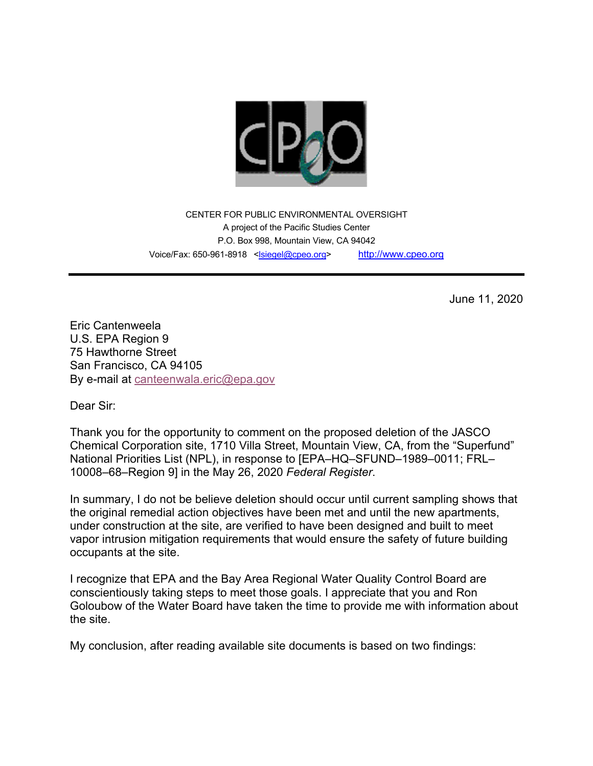

CENTER FOR PUBLIC ENVIRONMENTAL OVERSIGHT A project of the Pacific Studies Center P.O. Box 998, Mountain View, CA 94042 Voice/Fax: 650-961-8918 <lsiegel@cpeo.org> http://www.cpeo.org

June 11, 2020

Eric Cantenweela U.S. EPA Region 9 75 Hawthorne Street San Francisco, CA 94105 By e-mail at canteenwala.eric@epa.gov

Dear Sir:

Thank you for the opportunity to comment on the proposed deletion of the JASCO Chemical Corporation site, 1710 Villa Street, Mountain View, CA, from the "Superfund" National Priorities List (NPL), in response to [EPA–HQ–SFUND–1989–0011; FRL– 10008–68–Region 9] in the May 26, 2020 *Federal Register*.

In summary, I do not be believe deletion should occur until current sampling shows that the original remedial action objectives have been met and until the new apartments, under construction at the site, are verified to have been designed and built to meet vapor intrusion mitigation requirements that would ensure the safety of future building occupants at the site.

I recognize that EPA and the Bay Area Regional Water Quality Control Board are conscientiously taking steps to meet those goals. I appreciate that you and Ron Goloubow of the Water Board have taken the time to provide me with information about the site.

My conclusion, after reading available site documents is based on two findings: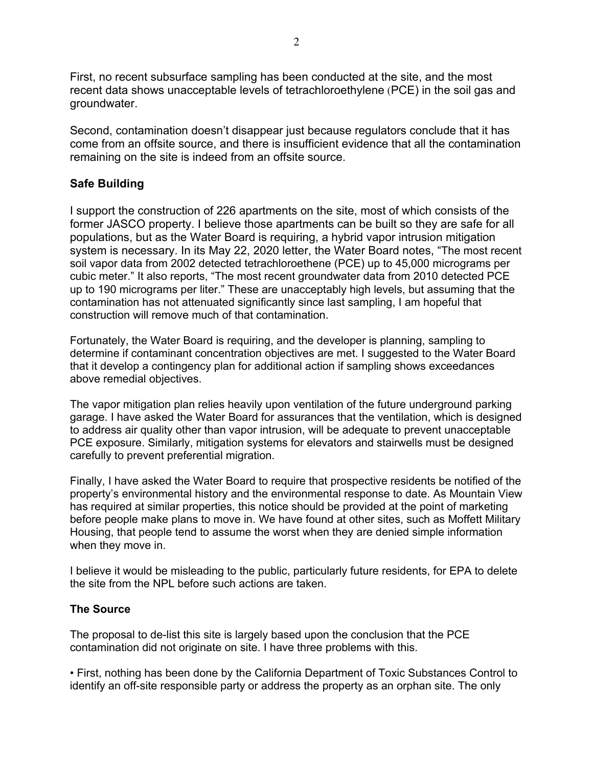First, no recent subsurface sampling has been conducted at the site, and the most recent data shows unacceptable levels of tetrachloroethylene (PCE) in the soil gas and groundwater.

Second, contamination doesn't disappear just because regulators conclude that it has come from an offsite source, and there is insufficient evidence that all the contamination remaining on the site is indeed from an offsite source.

## **Safe Building**

I support the construction of 226 apartments on the site, most of which consists of the former JASCO property. I believe those apartments can be built so they are safe for all populations, but as the Water Board is requiring, a hybrid vapor intrusion mitigation system is necessary. In its May 22, 2020 letter, the Water Board notes, "The most recent soil vapor data from 2002 detected tetrachloroethene (PCE) up to 45,000 micrograms per cubic meter." It also reports, "The most recent groundwater data from 2010 detected PCE up to 190 micrograms per liter." These are unacceptably high levels, but assuming that the contamination has not attenuated significantly since last sampling, I am hopeful that construction will remove much of that contamination.

Fortunately, the Water Board is requiring, and the developer is planning, sampling to determine if contaminant concentration objectives are met. I suggested to the Water Board that it develop a contingency plan for additional action if sampling shows exceedances above remedial objectives.

The vapor mitigation plan relies heavily upon ventilation of the future underground parking garage. I have asked the Water Board for assurances that the ventilation, which is designed to address air quality other than vapor intrusion, will be adequate to prevent unacceptable PCE exposure. Similarly, mitigation systems for elevators and stairwells must be designed carefully to prevent preferential migration.

Finally, I have asked the Water Board to require that prospective residents be notified of the property's environmental history and the environmental response to date. As Mountain View has required at similar properties, this notice should be provided at the point of marketing before people make plans to move in. We have found at other sites, such as Moffett Military Housing, that people tend to assume the worst when they are denied simple information when they move in.

I believe it would be misleading to the public, particularly future residents, for EPA to delete the site from the NPL before such actions are taken.

## **The Source**

The proposal to de-list this site is largely based upon the conclusion that the PCE contamination did not originate on site. I have three problems with this.

• First, nothing has been done by the California Department of Toxic Substances Control to identify an off-site responsible party or address the property as an orphan site. The only